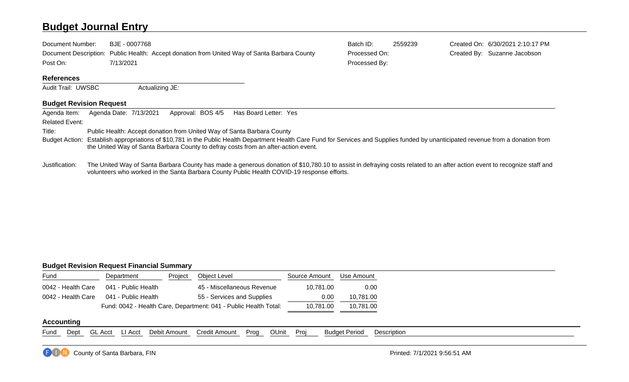### **Budget Journal Entry**

| Document Number:  | BJE - 0007768                                                                                | Batch ID:     | 2559239 | Created On: 6/30/2021 2:10:17 PM |
|-------------------|----------------------------------------------------------------------------------------------|---------------|---------|----------------------------------|
|                   | Document Description: Public Health: Accept donation from United Way of Santa Barbara County | Processed On: |         | Created By: Suzanne Jacobson     |
| Post On:          | 7/13/2021                                                                                    | Processed By: |         |                                  |
| <b>References</b> |                                                                                              |               |         |                                  |

## Audit Trail: UWSBC Actualizing JE:

#### **Budget Revision Request**

| Agenda Item:          | Approval: BOS 4/5<br>Has Board Letter: Yes<br>Agenda Date: 7/13/2021                                                                                                                                                                                                      |
|-----------------------|---------------------------------------------------------------------------------------------------------------------------------------------------------------------------------------------------------------------------------------------------------------------------|
| <b>Related Event:</b> |                                                                                                                                                                                                                                                                           |
| Title:                | Public Health: Accept donation from United Way of Santa Barbara County                                                                                                                                                                                                    |
|                       | Budget Action: Establish appropriations of \$10,781 in the Public Health Department Health Care Fund for Services and Supplies funded by unanticipated revenue from a donation from<br>the United Way of Santa Barbara County to defray costs from an after-action event. |
|                       |                                                                                                                                                                                                                                                                           |

Justification: The United Way of Santa Barbara County has made a generous donation of \$10,780.10 to assist in defraying costs related to an after action event to recognize staff and volunteers who worked in the Santa Barbara County Public Health COVID-19 response efforts.

#### **Budget Revision Request Financial Summary**

| Fund               | Department                                                       | Project   | Object Level               | Source Amount | Use Amount |
|--------------------|------------------------------------------------------------------|-----------|----------------------------|---------------|------------|
| 0042 - Health Care | 041 - Public Health                                              |           | 45 - Miscellaneous Revenue | 10.781.00     | 0.00       |
| 0042 - Health Care | 041 - Public Health                                              |           | 55 - Services and Supplies | 0.00          | 10.781.00  |
|                    | Fund: 0042 - Health Care, Department: 041 - Public Health Total: | 10.781.00 | 10.781.00                  |               |            |

#### **Accounting**

Fund Dept GL Acct LI Acct Debit Amount Credit Amount Prog OUnit Proj Budget Period Description